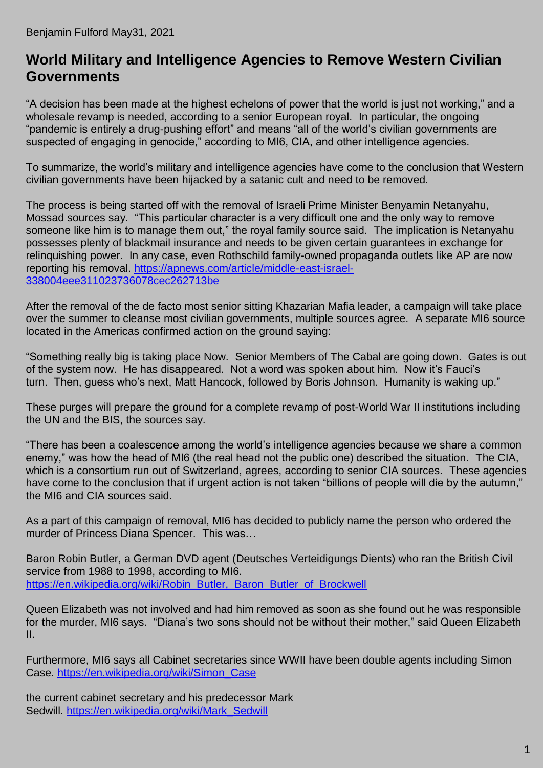## **World Military and Intelligence Agencies to Remove Western Civilian Governments**

"A decision has been made at the highest echelons of power that the world is just not working," and a wholesale revamp is needed, according to a senior European royal. In particular, the ongoing "pandemic is entirely a drug-pushing effort" and means "all of the world's civilian governments are suspected of engaging in genocide," according to MI6, CIA, and other intelligence agencies.

To summarize, the world's military and intelligence agencies have come to the conclusion that Western civilian governments have been hijacked by a satanic cult and need to be removed.

The process is being started off with the removal of Israeli Prime Minister Benyamin Netanyahu, Mossad sources say. "This particular character is a very difficult one and the only way to remove someone like him is to manage them out," the royal family source said. The implication is Netanyahu possesses plenty of blackmail insurance and needs to be given certain guarantees in exchange for relinquishing power. In any case, even Rothschild family-owned propaganda outlets like AP are now reporting his removal. [https://apnews.com/article/middle-east-israel-](https://apnews.com/article/middle-east-israel-338004eee311023736078cec262713be)[338004eee311023736078cec262713be](https://apnews.com/article/middle-east-israel-338004eee311023736078cec262713be)

After the removal of the de facto most senior sitting Khazarian Mafia leader, a campaign will take place over the summer to cleanse most civilian governments, multiple sources agree. A separate MI6 source located in the Americas confirmed action on the ground saying:

"Something really big is taking place Now. Senior Members of The Cabal are going down. Gates is out of the system now. He has disappeared. Not a word was spoken about him. Now it's Fauci's turn. Then, guess who's next, Matt Hancock, followed by Boris Johnson. Humanity is waking up."

These purges will prepare the ground for a complete revamp of post-World War II institutions including the UN and the BIS, the sources say.

"There has been a coalescence among the world's intelligence agencies because we share a common enemy," was how the head of MI6 (the real head not the public one) described the situation. The CIA, which is a consortium run out of Switzerland, agrees, according to senior CIA sources. These agencies have come to the conclusion that if urgent action is not taken "billions of people will die by the autumn," the MI6 and CIA sources said.

As a part of this campaign of removal, MI6 has decided to publicly name the person who ordered the murder of Princess Diana Spencer. This was…

Baron Robin Butler, a German DVD agent (Deutsches Verteidigungs Dients) who ran the British Civil service from 1988 to 1998, according to MI6. [https://en.wikipedia.org/wiki/Robin\\_Butler,\\_Baron\\_Butler\\_of\\_Brockwell](https://en.wikipedia.org/wiki/Robin_Butler,_Baron_Butler_of_Brockwell)

Queen Elizabeth was not involved and had him removed as soon as she found out he was responsible for the murder, MI6 says. "Diana's two sons should not be without their mother," said Queen Elizabeth II.

Furthermore, MI6 says all Cabinet secretaries since WWII have been double agents including Simon Case. [https://en.wikipedia.org/wiki/Simon\\_Case](https://en.wikipedia.org/wiki/Simon_Case)

the current cabinet secretary and his predecessor Mark Sedwill. [https://en.wikipedia.org/wiki/Mark\\_Sedwill](https://en.wikipedia.org/wiki/Mark_Sedwill)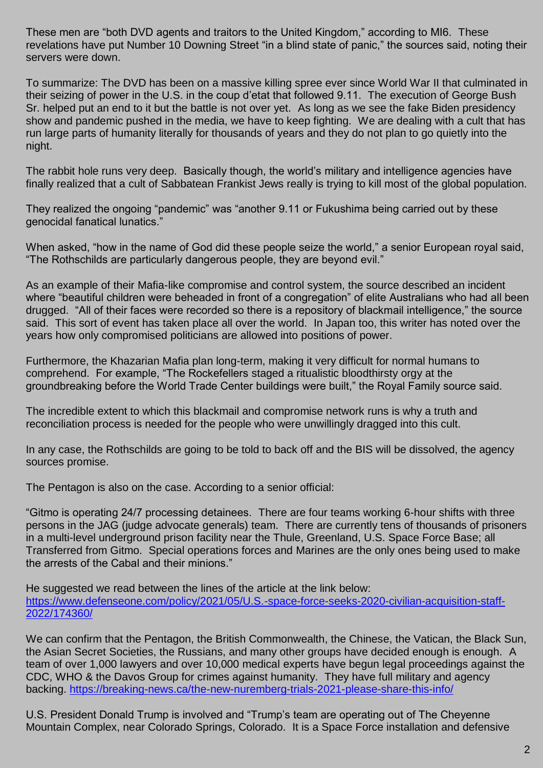These men are "both DVD agents and traitors to the United Kingdom," according to MI6. These revelations have put Number 10 Downing Street "in a blind state of panic," the sources said, noting their servers were down.

To summarize: The DVD has been on a massive killing spree ever since World War II that culminated in their seizing of power in the U.S. in the coup d'etat that followed 9.11. The execution of George Bush Sr. helped put an end to it but the battle is not over yet. As long as we see the fake Biden presidency show and pandemic pushed in the media, we have to keep fighting. We are dealing with a cult that has run large parts of humanity literally for thousands of years and they do not plan to go quietly into the night.

The rabbit hole runs very deep. Basically though, the world's military and intelligence agencies have finally realized that a cult of Sabbatean Frankist Jews really is trying to kill most of the global population.

They realized the ongoing "pandemic" was "another 9.11 or Fukushima being carried out by these genocidal fanatical lunatics."

When asked, "how in the name of God did these people seize the world," a senior European royal said, "The Rothschilds are particularly dangerous people, they are beyond evil."

As an example of their Mafia-like compromise and control system, the source described an incident where "beautiful children were beheaded in front of a congregation" of elite Australians who had all been drugged. "All of their faces were recorded so there is a repository of blackmail intelligence," the source said. This sort of event has taken place all over the world. In Japan too, this writer has noted over the years how only compromised politicians are allowed into positions of power.

Furthermore, the Khazarian Mafia plan long-term, making it very difficult for normal humans to comprehend. For example, "The Rockefellers staged a ritualistic bloodthirsty orgy at the groundbreaking before the World Trade Center buildings were built," the Royal Family source said.

The incredible extent to which this blackmail and compromise network runs is why a truth and reconciliation process is needed for the people who were unwillingly dragged into this cult.

In any case, the Rothschilds are going to be told to back off and the BIS will be dissolved, the agency sources promise.

The Pentagon is also on the case. According to a senior official:

"Gitmo is operating 24/7 processing detainees. There are four teams working 6-hour shifts with three persons in the JAG (judge advocate generals) team. There are currently tens of thousands of prisoners in a multi-level underground prison facility near the Thule, Greenland, U.S. Space Force Base; all Transferred from Gitmo. Special operations forces and Marines are the only ones being used to make the arrests of the Cabal and their minions."

He suggested we read between the lines of the article at the link below: [https://www.defenseone.com/policy/2021/05/U.S.-space-force-seeks-2020-civilian-acquisition-staff-](https://www.defenseone.com/policy/2021/05/us-space-force-seeks-2020-civilian-acquisition-staff-2022/174360/)[2022/174360/](https://www.defenseone.com/policy/2021/05/us-space-force-seeks-2020-civilian-acquisition-staff-2022/174360/)

We can confirm that the Pentagon, the British Commonwealth, the Chinese, the Vatican, the Black Sun, the Asian Secret Societies, the Russians, and many other groups have decided enough is enough. A team of over 1,000 lawyers and over 10,000 medical experts have begun legal proceedings against the CDC, WHO & the Davos Group for crimes against humanity. They have full military and agency backing.<https://breaking-news.ca/the-new-nuremberg-trials-2021-please-share-this-info/>

U.S. President Donald Trump is involved and "Trump's team are operating out of The Cheyenne Mountain Complex, near Colorado Springs, Colorado. It is a Space Force installation and defensive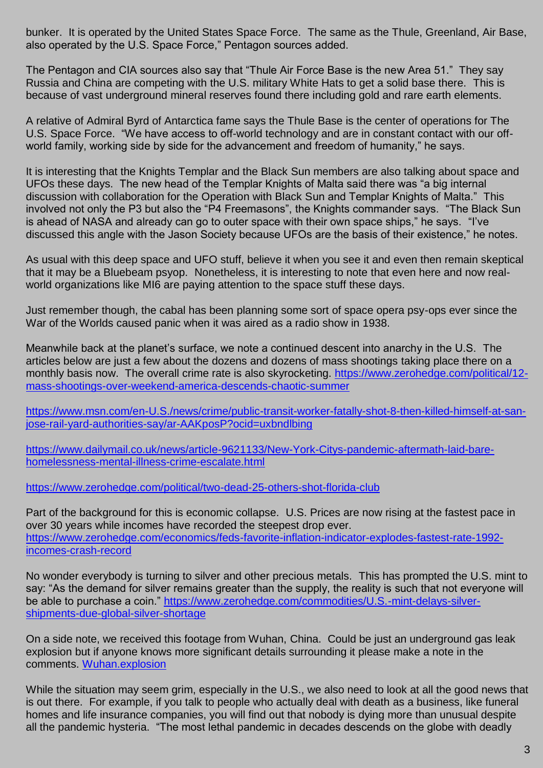bunker. It is operated by the United States Space Force. The same as the Thule, Greenland, Air Base, also operated by the U.S. Space Force," Pentagon sources added.

The Pentagon and CIA sources also say that "Thule Air Force Base is the new Area 51." They say Russia and China are competing with the U.S. military White Hats to get a solid base there. This is because of vast underground mineral reserves found there including gold and rare earth elements.

A relative of Admiral Byrd of Antarctica fame says the Thule Base is the center of operations for The U.S. Space Force. "We have access to off-world technology and are in constant contact with our offworld family, working side by side for the advancement and freedom of humanity," he says.

It is interesting that the Knights Templar and the Black Sun members are also talking about space and UFOs these days. The new head of the Templar Knights of Malta said there was "a big internal discussion with collaboration for the Operation with Black Sun and Templar Knights of Malta." This involved not only the P3 but also the "P4 Freemasons", the Knights commander says. "The Black Sun is ahead of NASA and already can go to outer space with their own space ships," he says. "I've discussed this angle with the Jason Society because UFOs are the basis of their existence," he notes.

As usual with this deep space and UFO stuff, believe it when you see it and even then remain skeptical that it may be a Bluebeam psyop. Nonetheless, it is interesting to note that even here and now realworld organizations like MI6 are paying attention to the space stuff these days.

Just remember though, the cabal has been planning some sort of space opera psy-ops ever since the War of the Worlds caused panic when it was aired as a radio show in 1938.

Meanwhile back at the planet's surface, we note a continued descent into anarchy in the U.S. The articles below are just a few about the dozens and dozens of mass shootings taking place there on a monthly basis now. The overall crime rate is also skyrocketing. [https://www.zerohedge.com/political/12](https://www.zerohedge.com/political/12-mass-shootings-over-weekend-america-descends-chaotic-summer) [mass-shootings-over-weekend-america-descends-chaotic-summer](https://www.zerohedge.com/political/12-mass-shootings-over-weekend-america-descends-chaotic-summer)

[https://www.msn.com/en-U.S./news/crime/public-transit-worker-fatally-shot-8-then-killed-himself-at-san](https://www.msn.com/en-us/news/crime/public-transit-worker-fatally-shot-8-then-killed-himself-at-san-jose-rail-yard-authorities-say/ar-AAKposP?ocid=uxbndlbing)[jose-rail-yard-authorities-say/ar-AAKposP?ocid=uxbndlbing](https://www.msn.com/en-us/news/crime/public-transit-worker-fatally-shot-8-then-killed-himself-at-san-jose-rail-yard-authorities-say/ar-AAKposP?ocid=uxbndlbing)

[https://www.dailymail.co.uk/news/article-9621133/New-York-Citys-pandemic-aftermath-laid-bare](https://www.dailymail.co.uk/news/article-9621133/New-York-Citys-pandemic-aftermath-laid-bare-homelessness-mental-illness-crime-escalate.html)[homelessness-mental-illness-crime-escalate.html](https://www.dailymail.co.uk/news/article-9621133/New-York-Citys-pandemic-aftermath-laid-bare-homelessness-mental-illness-crime-escalate.html)

<https://www.zerohedge.com/political/two-dead-25-others-shot-florida-club>

Part of the background for this is economic collapse. U.S. Prices are now rising at the fastest pace in over 30 years while incomes have recorded the steepest drop ever. [https://www.zerohedge.com/economics/feds-favorite-inflation-indicator-explodes-fastest-rate-1992](https://www.zerohedge.com/economics/feds-favorite-inflation-indicator-explodes-fastest-rate-1992-incomes-crash-record) [incomes-crash-record](https://www.zerohedge.com/economics/feds-favorite-inflation-indicator-explodes-fastest-rate-1992-incomes-crash-record)

No wonder everybody is turning to silver and other precious metals. This has prompted the U.S. mint to say: "As the demand for silver remains greater than the supply, the reality is such that not everyone will be able to purchase a coin." [https://www.zerohedge.com/commodities/U.S.-mint-delays-silver](https://www.zerohedge.com/commodities/us-mint-delays-silver-shipments-due-global-silver-shortage)[shipments-due-global-silver-shortage](https://www.zerohedge.com/commodities/us-mint-delays-silver-shipments-due-global-silver-shortage)

On a side note, we received this footage from Wuhan, China. Could be just an underground gas leak explosion but if anyone knows more significant details surrounding it please make a note in the comments. [Wuhan.explosion](https://benjaminfulford.net/wp-content/uploads/2021/05/Wuhan.explosion.3gp)

While the situation may seem grim, especially in the U.S., we also need to look at all the good news that is out there. For example, if you talk to people who actually deal with death as a business, like funeral homes and life insurance companies, you will find out that nobody is dying more than unusual despite all the pandemic hysteria. "The most lethal pandemic in decades descends on the globe with deadly